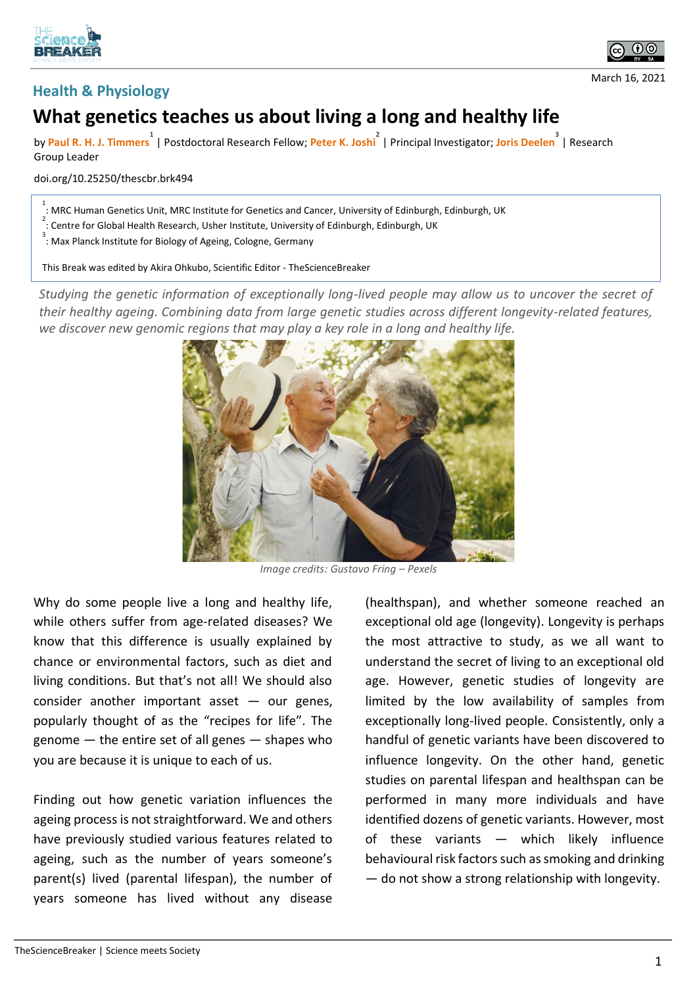



## **Health & Physiology**

March 16, 2021

## **What genetics teaches us about living a long and healthy life**

by **Paul R. H. J. Timmers 1** | Postdoctoral Research Fellow; **Peter K. Joshi 2** | Principal Investigator; **Joris Deelen 3** | Research Group Leader

## doi.org/10.25250/thescbr.brk494

- 1<br>: MRC Human Genetics Unit, MRC Institute for Genetics and Cancer, University of Edinburgh, Edinburgh, UK
- <sup>2</sup>: Centre for Global Health Research, Usher Institute, University of Edinburgh, Edinburgh, UK
- <sup>3</sup> : Max Planck Institute for Biology of Ageing, Cologne, Germany

This Break was edited by Akira Ohkubo, Scientific Editor - TheScienceBreaker

*Studying the genetic information of exceptionally long-lived people may allow us to uncover the secret of their healthy ageing. Combining data from large genetic studies across different longevity-related features, we discover new genomic regions that may play a key role in a long and healthy life.*



*Image credits: Gustavo Fring – Pexels*

Why do some people live a long and healthy life, while others suffer from age-related diseases? We know that this difference is usually explained by chance or environmental factors, such as diet and living conditions. But that's not all! We should also consider another important asset — our genes, popularly thought of as the "recipes for life". The genome  $-$  the entire set of all genes  $-$  shapes who you are because it is unique to each of us.

Finding out how genetic variation influences the ageing process is not straightforward. We and others have previously studied various features related to ageing, such as the number of years someone's parent(s) lived (parental lifespan), the number of years someone has lived without any disease

(healthspan), and whether someone reached an exceptional old age (longevity). Longevity is perhaps the most attractive to study, as we all want to understand the secret of living to an exceptional old age. However, genetic studies of longevity are limited by the low availability of samples from exceptionally long-lived people. Consistently, only a handful of genetic variants have been discovered to influence longevity. On the other hand, genetic studies on parental lifespan and healthspan can be performed in many more individuals and have identified dozens of genetic variants. However, most of these variants — which likely influence behavioural risk factors such as smoking and drinking — do not show a strong relationship with longevity.